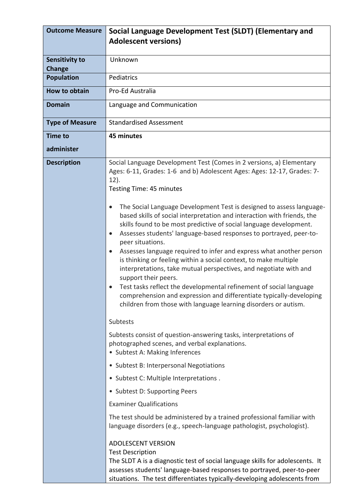| <b>Outcome Measure</b>          | Social Language Development Test (SLDT) (Elementary and<br><b>Adolescent versions)</b>                                                                                                                                                                                                                                                                                                                                                                                                                                                                                                                                                                                                                                    |
|---------------------------------|---------------------------------------------------------------------------------------------------------------------------------------------------------------------------------------------------------------------------------------------------------------------------------------------------------------------------------------------------------------------------------------------------------------------------------------------------------------------------------------------------------------------------------------------------------------------------------------------------------------------------------------------------------------------------------------------------------------------------|
| <b>Sensitivity to</b><br>Change | Unknown                                                                                                                                                                                                                                                                                                                                                                                                                                                                                                                                                                                                                                                                                                                   |
| <b>Population</b>               | Pediatrics                                                                                                                                                                                                                                                                                                                                                                                                                                                                                                                                                                                                                                                                                                                |
| <b>How to obtain</b>            | Pro-Ed Australia                                                                                                                                                                                                                                                                                                                                                                                                                                                                                                                                                                                                                                                                                                          |
| <b>Domain</b>                   | Language and Communication                                                                                                                                                                                                                                                                                                                                                                                                                                                                                                                                                                                                                                                                                                |
| <b>Type of Measure</b>          | <b>Standardised Assessment</b>                                                                                                                                                                                                                                                                                                                                                                                                                                                                                                                                                                                                                                                                                            |
| <b>Time to</b>                  | 45 minutes                                                                                                                                                                                                                                                                                                                                                                                                                                                                                                                                                                                                                                                                                                                |
| administer                      |                                                                                                                                                                                                                                                                                                                                                                                                                                                                                                                                                                                                                                                                                                                           |
| <b>Description</b>              | Social Language Development Test (Comes in 2 versions, a) Elementary<br>Ages: 6-11, Grades: 1-6 and b) Adolescent Ages: Ages: 12-17, Grades: 7-<br>$12$ ).<br>Testing Time: 45 minutes<br>The Social Language Development Test is designed to assess language-<br>$\bullet$                                                                                                                                                                                                                                                                                                                                                                                                                                               |
|                                 | based skills of social interpretation and interaction with friends, the<br>skills found to be most predictive of social language development.<br>Assesses students' language-based responses to portrayed, peer-to-<br>$\bullet$<br>peer situations.<br>Assesses language required to infer and express what another person<br>$\bullet$<br>is thinking or feeling within a social context, to make multiple<br>interpretations, take mutual perspectives, and negotiate with and<br>support their peers.<br>Test tasks reflect the developmental refinement of social language<br>comprehension and expression and differentiate typically-developing<br>children from those with language learning disorders or autism. |
|                                 | Subtests                                                                                                                                                                                                                                                                                                                                                                                                                                                                                                                                                                                                                                                                                                                  |
|                                 | Subtests consist of question-answering tasks, interpretations of<br>photographed scenes, and verbal explanations.<br>• Subtest A: Making Inferences                                                                                                                                                                                                                                                                                                                                                                                                                                                                                                                                                                       |
|                                 | • Subtest B: Interpersonal Negotiations                                                                                                                                                                                                                                                                                                                                                                                                                                                                                                                                                                                                                                                                                   |
|                                 | • Subtest C: Multiple Interpretations.                                                                                                                                                                                                                                                                                                                                                                                                                                                                                                                                                                                                                                                                                    |
|                                 | • Subtest D: Supporting Peers                                                                                                                                                                                                                                                                                                                                                                                                                                                                                                                                                                                                                                                                                             |
|                                 | <b>Examiner Qualifications</b>                                                                                                                                                                                                                                                                                                                                                                                                                                                                                                                                                                                                                                                                                            |
|                                 | The test should be administered by a trained professional familiar with<br>language disorders (e.g., speech-language pathologist, psychologist).                                                                                                                                                                                                                                                                                                                                                                                                                                                                                                                                                                          |
|                                 | <b>ADOLESCENT VERSION</b><br><b>Test Description</b><br>The SLDT A is a diagnostic test of social language skills for adolescents. It<br>assesses students' language-based responses to portrayed, peer-to-peer<br>situations. The test differentiates typically-developing adolescents from                                                                                                                                                                                                                                                                                                                                                                                                                              |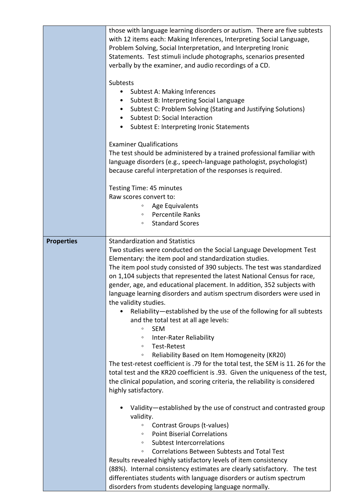|                   | those with language learning disorders or autism. There are five subtests<br>with 12 items each: Making Inferences, Interpreting Social Language,<br>Problem Solving, Social Interpretation, and Interpreting Ironic<br>Statements. Test stimuli include photographs, scenarios presented<br>verbally by the examiner, and audio recordings of a CD.<br>Subtests<br><b>Subtest A: Making Inferences</b><br>Subtest B: Interpreting Social Language<br>٠<br>Subtest C: Problem Solving (Stating and Justifying Solutions)<br>$\bullet$<br>Subtest D: Social Interaction<br>Subtest E: Interpreting Ironic Statements<br>$\bullet$<br><b>Examiner Qualifications</b><br>The test should be administered by a trained professional familiar with<br>language disorders (e.g., speech-language pathologist, psychologist)<br>because careful interpretation of the responses is required.<br>Testing Time: 45 minutes<br>Raw scores convert to:<br>Age Equivalents<br>$\circ$<br><b>Percentile Ranks</b><br>$\circ$<br><b>Standard Scores</b><br>$\circ$                                                                                                                                                                                                                                                                                                                                                                                                                                                                                                                                                                            |
|-------------------|---------------------------------------------------------------------------------------------------------------------------------------------------------------------------------------------------------------------------------------------------------------------------------------------------------------------------------------------------------------------------------------------------------------------------------------------------------------------------------------------------------------------------------------------------------------------------------------------------------------------------------------------------------------------------------------------------------------------------------------------------------------------------------------------------------------------------------------------------------------------------------------------------------------------------------------------------------------------------------------------------------------------------------------------------------------------------------------------------------------------------------------------------------------------------------------------------------------------------------------------------------------------------------------------------------------------------------------------------------------------------------------------------------------------------------------------------------------------------------------------------------------------------------------------------------------------------------------------------------------------------------|
| <b>Properties</b> | <b>Standardization and Statistics</b><br>Two studies were conducted on the Social Language Development Test<br>Elementary: the item pool and standardization studies.<br>The item pool study consisted of 390 subjects. The test was standardized<br>on 1,104 subjects that represented the latest National Census for race,<br>gender, age, and educational placement. In addition, 352 subjects with<br>language learning disorders and autism spectrum disorders were used in<br>the validity studies.<br>Reliability-established by the use of the following for all subtests<br>and the total test at all age levels:<br><b>SEM</b><br>$\circ$<br>Inter-Rater Reliability<br>$\circ$<br>Test-Retest<br>$\circ$<br>Reliability Based on Item Homogeneity (KR20)<br>$\circ$<br>The test-retest coefficient is .79 for the total test, the SEM is 11. 26 for the<br>total test and the KR20 coefficient is .93. Given the uniqueness of the test,<br>the clinical population, and scoring criteria, the reliability is considered<br>highly satisfactory.<br>Validity-established by the use of construct and contrasted group<br>validity.<br>Contrast Groups (t-values)<br>$\circ$<br><b>Point Biserial Correlations</b><br>$\circ$<br>Subtest Intercorrelations<br>$\circ$<br><b>Correlations Between Subtests and Total Test</b><br>$\circ$<br>Results revealed highly satisfactory levels of item consistency<br>(88%). Internal consistency estimates are clearly satisfactory. The test<br>differentiates students with language disorders or autism spectrum<br>disorders from students developing language normally. |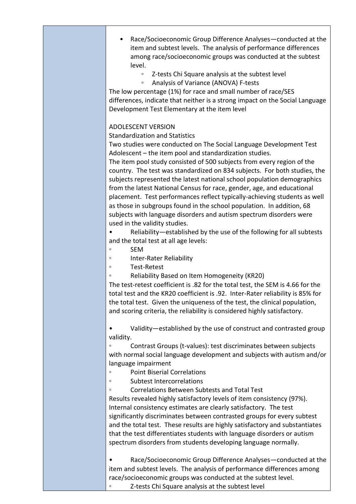- Race/Socioeconomic Group Difference Analyses—conducted at the item and subtest levels. The analysis of performance differences among race/socioeconomic groups was conducted at the subtest level.
	- Z-tests Chi Square analysis at the subtest level
	- Analysis of Variance (ANOVA) F-tests

The low percentage (1%) for race and small number of race/SES differences, indicate that neither is a strong impact on the Social Language Development Test Elementary at the item level

## ADOLESCENT VERSION

Standardization and Statistics

Two studies were conducted on The Social Language Development Test Adolescent – the item pool and standardization studies.

The item pool study consisted of 500 subjects from every region of the country. The test was standardized on 834 subjects. For both studies, the subjects represented the latest national school population demographics from the latest National Census for race, gender, age, and educational placement. Test performances reflect typically-achieving students as well as those in subgroups found in the school population. In addition, 68 subjects with language disorders and autism spectrum disorders were used in the validity studies.

• Reliability—established by the use of the following for all subtests and the total test at all age levels:

- SEM
- Inter-Rater Reliability
- Test-Retest
- Reliability Based on Item Homogeneity (KR20)

The test-retest coefficient is .82 for the total test, the SEM is 4.66 for the total test and the KR20 coefficient is .92. Inter-Rater reliability is 85% for the total test. Given the uniqueness of the test, the clinical population, and scoring criteria, the reliability is considered highly satisfactory.

• Validity—established by the use of construct and contrasted group validity.

◦ Contrast Groups (t-values): test discriminates between subjects with normal social language development and subjects with autism and/or language impairment

◦ Point Biserial Correlations

◦ Subtest Intercorrelations

◦ Correlations Between Subtests and Total Test Results revealed highly satisfactory levels of item consistency (97%). Internal consistency estimates are clearly satisfactory. The test significantly discriminates between contrasted groups for every subtest and the total test. These results are highly satisfactory and substantiates that the test differentiates students with language disorders or autism spectrum disorders from students developing language normally.

• Race/Socioeconomic Group Difference Analyses—conducted at the item and subtest levels. The analysis of performance differences among race/socioeconomic groups was conducted at the subtest level.

◦ Z-tests Chi Square analysis at the subtest level